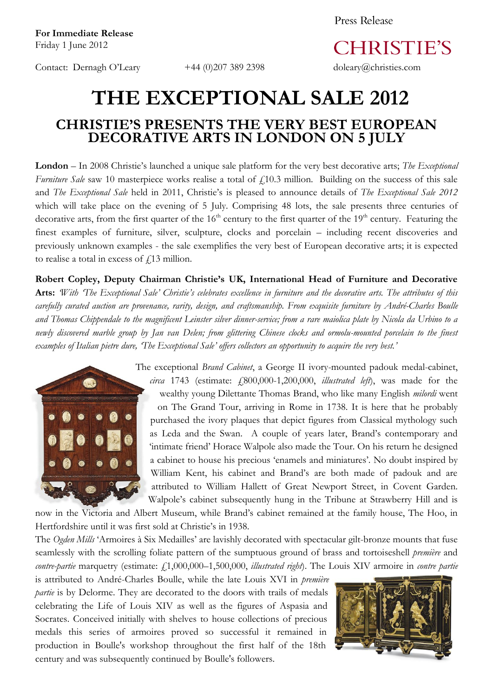Contact: Dernagh O'Leary +44 (0)207 389 2398 doleary@christies.com

Press Release

**CHRISTIE'S** 

## **THE EXCEPTIONAL SALE 2012 CHRISTIE'S PRESENTS THE VERY BEST EUROPEAN DECORATIVE ARTS IN LONDON ON 5 JULY**

**London** – In 2008 Christie's launched a unique sale platform for the very best decorative arts; *The Exceptional Furniture* Sale saw 10 masterpiece works realise a total of  $f(10.3)$  million. Building on the success of this sale and *The Exceptional Sale* held in 2011, Christie's is pleased to announce details of *The Exceptional Sale 2012* which will take place on the evening of 5 July. Comprising 48 lots, the sale presents three centuries of decorative arts, from the first quarter of the  $16<sup>th</sup>$  century to the first quarter of the  $19<sup>th</sup>$  century. Featuring the finest examples of furniture, silver, sculpture, clocks and porcelain – including recent discoveries and previously unknown examples - the sale exemplifies the very best of European decorative arts; it is expected to realise a total in excess of  $f$ 13 million.

**Robert Copley, Deputy Chairman Christie's UK, International Head of Furniture and Decorative Arts:** *'With 'The Exceptional Sale' Christie's celebrates excellence in furniture and the decorative arts. The attributes of this carefully curated auction are provenance, rarity, design, and craftsmanship. From exquisite furniture by André-Charles Boulle and Thomas Chippendale to the magnificent Leinster silver dinner-service; from a rare maiolica plate by Nicola da Urbino to a newly discovered marble group by Jan van Delen; from glittering Chinese clocks and ormolu-mounted porcelain to the finest examples of Italian pietre dure, 'The Exceptional Sale' offers collectors an opportunity to acquire the very best.'*



The exceptional *Brand Cabinet*, a George II ivory-mounted padouk medal-cabinet, *circa* 1743 (estimate: £800,000-1,200,000, *illustrated left*), was made for the wealthy young Dilettante Thomas Brand, who like many English *milordi* went on The Grand Tour, arriving in Rome in 1738. It is here that he probably purchased the ivory plaques that depict figures from Classical mythology such as Leda and the Swan. A couple of years later, Brand's contemporary and 'intimate friend' Horace Walpole also made the Tour. On his return he designed a cabinet to house his precious 'enamels and miniatures'. No doubt inspired by William Kent, his cabinet and Brand's are both made of padouk and are attributed to William Hallett of Great Newport Street, in Covent Garden. Walpole's cabinet subsequently hung in the Tribune at Strawberry Hill and is

now in the Victoria and Albert Museum, while Brand's cabinet remained at the family house, The Hoo, in Hertfordshire until it was first sold at Christie's in 1938.

The *Ogden Mills* 'Armoires à Six Medailles' are lavishly decorated with spectacular gilt-bronze mounts that fuse seamlessly with the scrolling foliate pattern of the sumptuous ground of brass and tortoiseshell *première* and *contre-partie* marquetry (estimate:  $f1,000,000-1,500,000$ , *illustrated right*). The Louis XIV armoire in *contre partie* 

is attributed to André-Charles Boulle, while the late Louis XVI in *première partie* is by Delorme. They are decorated to the doors with trails of medals celebrating the Life of Louis XIV as well as the figures of Aspasia and Socrates. Conceived initially with shelves to house collections of precious medals this series of armoires proved so successful it remained in production in Boulle's workshop throughout the first half of the 18th century and was subsequently continued by Boulle's followers.

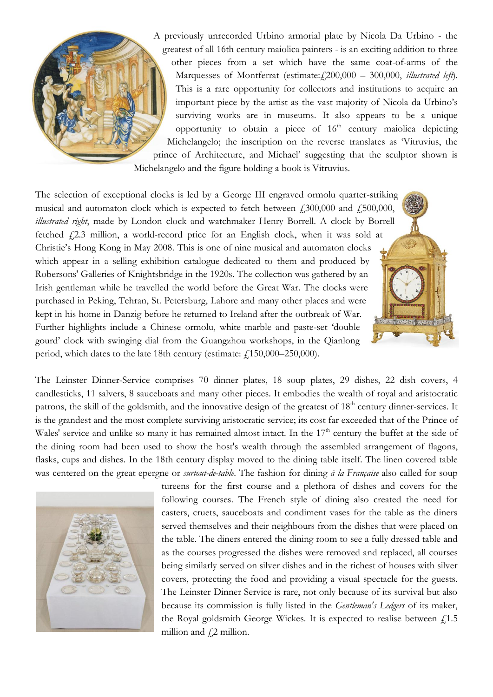A previously unrecorded Urbino armorial plate by Nicola Da Urbino - the greatest of all 16th century maiolica painters - is an exciting addition to three other pieces from a set which have the same coat-of-arms of the Marquesses of Montferrat (estimate: £200,000 - 300,000, *illustrated left*). This is a rare opportunity for collectors and institutions to acquire an important piece by the artist as the vast majority of Nicola da Urbino's surviving works are in museums. It also appears to be a unique opportunity to obtain a piece of  $16<sup>th</sup>$  century maiolica depicting Michelangelo; the inscription on the reverse translates as 'Vitruvius, the prince of Architecture, and Michael' suggesting that the sculptor shown is Michelangelo and the figure holding a book is Vitruvius.

The selection of exceptional clocks is led by a George III engraved ormolu quarter-striking musical and automaton clock which is expected to fetch between  $\text{\textsterling}300,000$  and  $\text{\textsterling}500,000$ , *illustrated right*, made by London clock and watchmaker Henry Borrell. A clock by Borrell fetched  $f(2.3)$  million, a world-record price for an English clock, when it was sold at Christie's Hong Kong in May 2008. This is one of nine musical and automaton clocks which appear in a selling exhibition catalogue dedicated to them and produced by Robersons' Galleries of Knightsbridge in the 1920s. The collection was gathered by an Irish gentleman while he travelled the world before the Great War. The clocks were purchased in Peking, Tehran, St. Petersburg, Lahore and many other places and were kept in his home in Danzig before he returned to Ireland after the outbreak of War. Further highlights include a Chinese ormolu, white marble and paste-set 'double gourd' clock with swinging dial from the Guangzhou workshops, in the Qianlong period, which dates to the late 18th century (estimate:  $\text{\textsterling}150,000-250,000$ ).

The Leinster Dinner-Service comprises 70 dinner plates, 18 soup plates, 29 dishes, 22 dish covers, 4 candlesticks, 11 salvers, 8 sauceboats and many other pieces. It embodies the wealth of royal and aristocratic patrons, the skill of the goldsmith, and the innovative design of the greatest of 18<sup>th</sup> century dinner-services. It is the grandest and the most complete surviving aristocratic service; its cost far exceeded that of the Prince of Wales' service and unlike so many it has remained almost intact. In the  $17<sup>th</sup>$  century the buffet at the side of the dining room had been used to show the host's wealth through the assembled arrangement of flagons, flasks, cups and dishes. In the 18th century display moved to the dining table itself. The linen covered table was centered on the great epergne or *surtout-de-table*. The fashion for dining *à la Française* also called for soup



tureens for the first course and a plethora of dishes and covers for the following courses. The French style of dining also created the need for casters, cruets, sauceboats and condiment vases for the table as the diners served themselves and their neighbours from the dishes that were placed on the table. The diners entered the dining room to see a fully dressed table and as the courses progressed the dishes were removed and replaced, all courses being similarly served on silver dishes and in the richest of houses with silver covers, protecting the food and providing a visual spectacle for the guests. The Leinster Dinner Service is rare, not only because of its survival but also because its commission is fully listed in the *Gentleman's Ledgers* of its maker, the Royal goldsmith George Wickes. It is expected to realise between  $f$ 1.5 million and  $f$ 2 million.